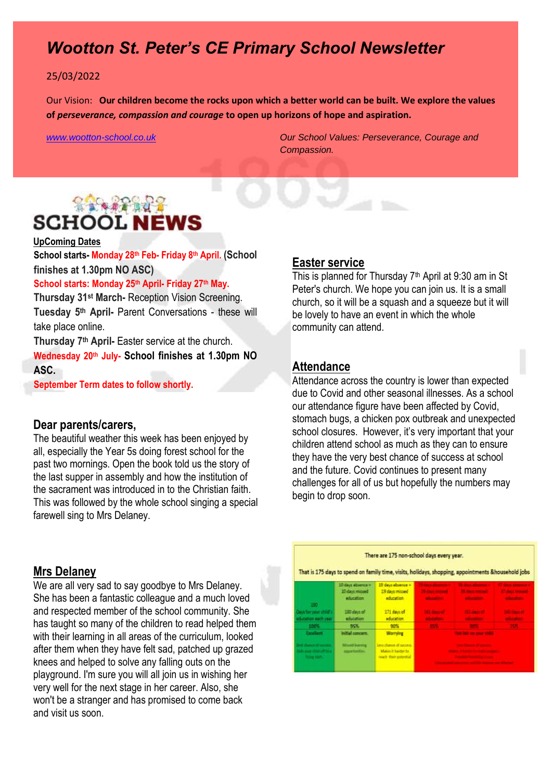## *Wootton St. Peter's CE Primary School Newsletter*

#### 25/03/2022

Our Vision: **Our children become the rocks upon which a better world can be built. We explore the values of** *perseverance, compassion and courage* **to open up horizons of hope and aspiration.** 

*[www.wootton-school.co.uk](http://www.wootton-school.co.uk/) Our School Values: Perseverance, Courage and Compassion.*

# **RACAR ROLL SCHOOL NEWS**

### **UpComing Dates**

**School starts- Monday 28th Feb- Friday 8th April. (School finishes at 1.30pm NO ASC)**

### **School starts: Monday 25th April- Friday 27th May.**

**Thursday 31st March-** Reception Vision Screening. **Tuesday 5th April-** Parent Conversations - these will take place online.

**Thursday 7th April-** Easter service at the church.

**Wednesday 20th July- School finishes at 1.30pm NO ASC.**

**September Term dates to follow shortly.** 

### **Dear parents/carers,**

The beautiful weather this week has been enjoyed by all, especially the Year 5s doing forest school for the past two mornings. Open the book told us the story of the last supper in assembly and how the institution of the sacrament was introduced in to the Christian faith. This was followed by the whole school singing a special farewell sing to Mrs Delaney.

### **Mrs Delaney**

We are all very sad to say goodbye to Mrs Delaney. She has been a fantastic colleague and a much loved and respected member of the school community. She has taught so many of the children to read helped them with their learning in all areas of the curriculum, looked after them when they have felt sad, patched up grazed knees and helped to solve any falling outs on the playground. I'm sure you will all join us in wishing her very well for the next stage in her career. Also, she won't be a stranger and has promised to come back and visit us soon.

#### **Easter service**

This is planned for Thursday  $7<sup>th</sup>$  April at 9:30 am in St Peter's church. We hope you can join us. It is a small church, so it will be a squash and a squeeze but it will be lovely to have an event in which the whole community can attend.

### **Attendance**

Attendance across the country is lower than expected due to Covid and other seasonal illnesses. As a school our attendance figure have been affected by Covid, stomach bugs, a chicken pox outbreak and unexpected school closures. However, it's very important that your children attend school as much as they can to ensure they have the very best chance of success at school and the future. Covid continues to present many challenges for all of us but hopefully the numbers may begin to drop soon.

## There are 175 non-school days every year. That is 175 days to spend on family time, visits, holidays, shopping, appointments &household jobs **19 days missage** education 171 days of 180 days of 90%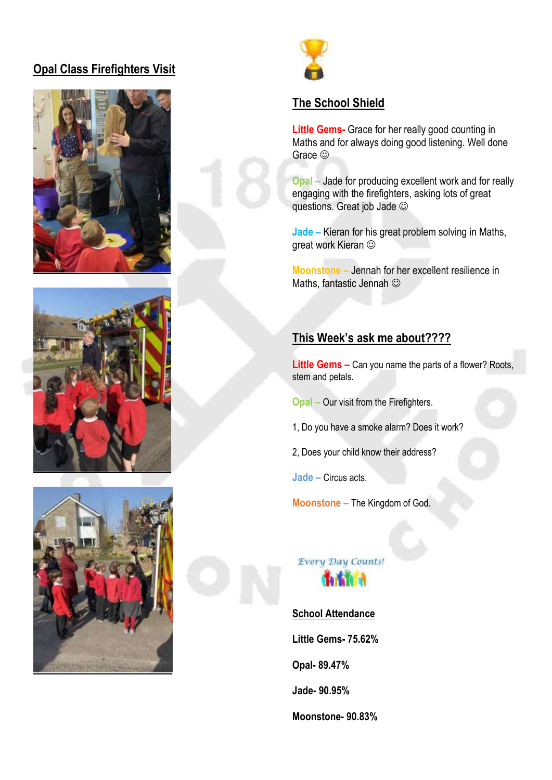## **Opal Class Firefighters Visit**





### **The School Shield**

**Little Gems-** Grace for her really good counting in Maths and for always doing good listening. Well done Grace  $\odot$ 

**Opal –** Jade for producing excellent work and for really engaging with the firefighters, asking lots of great questions. Great job Jade

**Jade –** Kieran for his great problem solving in Maths, great work Kieran

**Moonstone –** Jennah for her excellent resilience in Maths, fantastic Jennah

## **This Week's ask me about????**

**Little Gems –** Can you name the parts of a flower? Roots, stem and petals.

**Opal –** Our visit from the Firefighters.

1, Do you have a smoke alarm? Does it work?

2, Does your child know their address?

**Jade –** Circus acts.

**Moonstone –** The Kingdom of God.

Every Day Counts! **That Lat** 

**School Attendance Little Gems- 75.62% Opal- 89.47% Jade- 90.95% Moonstone- 90.83%**